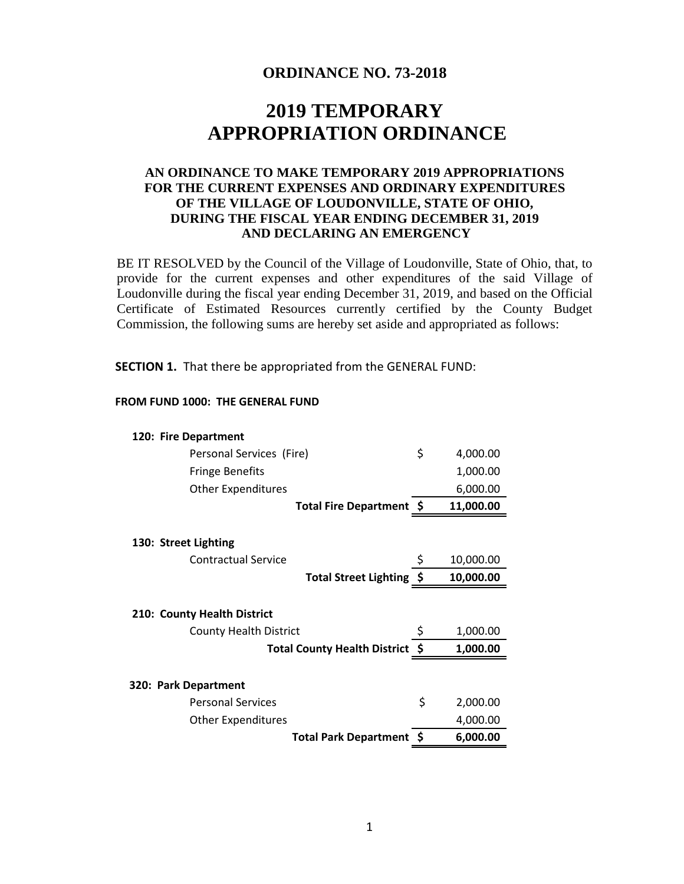## **ORDINANCE NO. 73-2018**

# **2019 TEMPORARY APPROPRIATION ORDINANCE**

## **AN ORDINANCE TO MAKE TEMPORARY 2019 APPROPRIATIONS FOR THE CURRENT EXPENSES AND ORDINARY EXPENDITURES OF THE VILLAGE OF LOUDONVILLE, STATE OF OHIO, DURING THE FISCAL YEAR ENDING DECEMBER 31, 2019 AND DECLARING AN EMERGENCY**

BE IT RESOLVED by the Council of the Village of Loudonville, State of Ohio, that, to provide for the current expenses and other expenditures of the said Village of Loudonville during the fiscal year ending December 31, 2019, and based on the Official Certificate of Estimated Resources currently certified by the County Budget Commission, the following sums are hereby set aside and appropriated as follows:

**SECTION 1.** That there be appropriated from the GENERAL FUND:

#### **FROM FUND 1000: THE GENERAL FUND**

| 120: Fire Department                |      |           |
|-------------------------------------|------|-----------|
| Personal Services (Fire)            | \$   | 4,000.00  |
| <b>Fringe Benefits</b>              |      | 1,000.00  |
| <b>Other Expenditures</b>           |      | 6,000.00  |
| Total Fire Department \$            |      | 11,000.00 |
| 130: Street Lighting                |      |           |
| <b>Contractual Service</b>          |      | 10,000.00 |
| Total Street Lighting \$            |      | 10,000.00 |
| 210: County Health District         |      |           |
| <b>County Health District</b>       | Ş    | 1,000.00  |
| <b>Total County Health District</b> | - \$ | 1,000.00  |
| 320: Park Department                |      |           |
| <b>Personal Services</b>            | \$   | 2,000.00  |
|                                     |      |           |
| <b>Other Expenditures</b>           |      | 4,000.00  |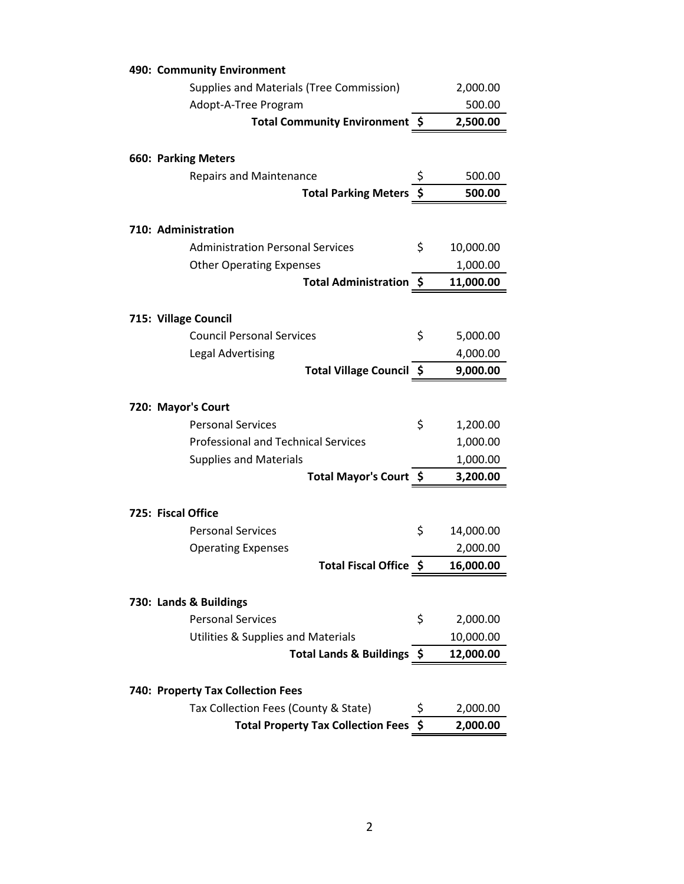| 490: Community Environment                              |    |                      |
|---------------------------------------------------------|----|----------------------|
| Supplies and Materials (Tree Commission)                |    | 2,000.00             |
| Adopt-A-Tree Program                                    |    | 500.00               |
| Total Community Environment \$                          |    | 2,500.00             |
|                                                         |    |                      |
| <b>660: Parking Meters</b>                              |    |                      |
| <b>Repairs and Maintenance</b>                          | \$ | 500.00               |
| <b>Total Parking Meters</b>                             | \$ | 500.00               |
|                                                         |    |                      |
| 710: Administration                                     |    |                      |
| <b>Administration Personal Services</b>                 | \$ | 10,000.00            |
| <b>Other Operating Expenses</b>                         |    | 1,000.00             |
| Total Administration \$                                 |    | 11,000.00            |
|                                                         |    |                      |
| 715: Village Council                                    |    |                      |
| <b>Council Personal Services</b>                        | \$ | 5,000.00             |
| <b>Legal Advertising</b>                                |    | 4,000.00             |
| Total Village Council \$                                |    | 9,000.00             |
|                                                         |    |                      |
| 720: Mayor's Court                                      |    |                      |
| <b>Personal Services</b>                                | \$ | 1,200.00             |
| <b>Professional and Technical Services</b>              |    | 1,000.00             |
| <b>Supplies and Materials</b><br>Total Mayor's Court \$ |    | 1,000.00<br>3,200.00 |
|                                                         |    |                      |
| 725: Fiscal Office                                      |    |                      |
| <b>Personal Services</b>                                | \$ | 14,000.00            |
| <b>Operating Expenses</b>                               |    | 2,000.00             |
| Total Fiscal Office \$                                  |    | 16,000.00            |
|                                                         |    |                      |
| 730: Lands & Buildings                                  |    |                      |
| <b>Personal Services</b>                                | \$ | 2,000.00             |
| Utilities & Supplies and Materials                      |    | 10,000.00            |
| Total Lands & Buildings \$                              |    | 12,000.00            |
|                                                         |    |                      |
| 740: Property Tax Collection Fees                       |    |                      |
| Tax Collection Fees (County & State)                    | \$ | 2,000.00             |
| <b>Total Property Tax Collection Fees</b>               | \$ | 2,000.00             |
|                                                         |    |                      |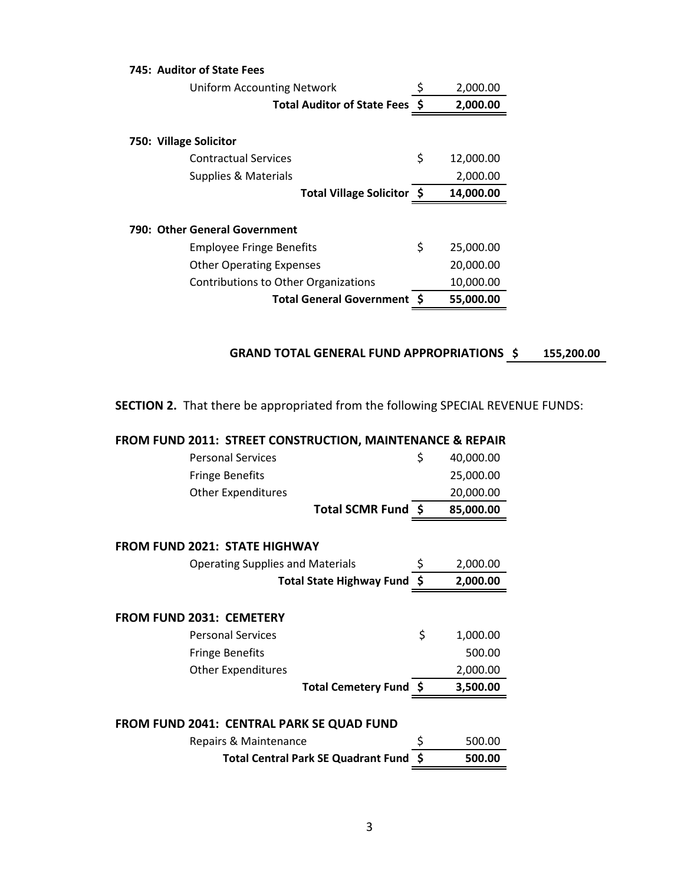| 745: Auditor of State Fees           |    |           |
|--------------------------------------|----|-----------|
| Uniform Accounting Network           | Ş  | 2,000.00  |
| <b>Total Auditor of State Fees S</b> |    | 2,000.00  |
| 750: Village Solicitor               |    |           |
| <b>Contractual Services</b>          | \$ | 12,000.00 |
| Supplies & Materials                 |    | 2,000.00  |
| Total Village Solicitor \$           |    | 14,000.00 |
| 790: Other General Government        |    |           |
| <b>Employee Fringe Benefits</b>      | \$ | 25,000.00 |
| <b>Other Operating Expenses</b>      |    | 20,000.00 |
| Contributions to Other Organizations |    | 10,000.00 |
| <b>Total General Government</b>      |    | 55,000.00 |

## GRAND TOTAL GENERAL FUND APPROPRIATIONS \$155,200.00

**SECTION 2.** That there be appropriated from the following SPECIAL REVENUE FUNDS:

| FROM FUND 2011: STREET CONSTRUCTION, MAINTENANCE & REPAIR |                 |
|-----------------------------------------------------------|-----------------|
| <b>Personal Services</b>                                  | \$<br>40,000.00 |
| <b>Fringe Benefits</b>                                    | 25,000.00       |
| <b>Other Expenditures</b>                                 | 20,000.00       |
| Total SCMR Fund \$                                        | 85,000.00       |
| <b>FROM FUND 2021: STATE HIGHWAY</b>                      |                 |
| <b>Operating Supplies and Materials</b>                   | \$<br>2,000.00  |
| Total State Highway Fund \$                               | 2,000.00        |
| <b>FROM FUND 2031: CEMETERY</b>                           |                 |
| <b>Personal Services</b>                                  | \$<br>1,000.00  |
| <b>Fringe Benefits</b>                                    | 500.00          |
| <b>Other Expenditures</b>                                 | 2,000.00        |
| Total Cemetery Fund \$                                    | 3,500.00        |
| FROM FUND 2041: CENTRAL PARK SE QUAD FUND                 |                 |
| Repairs & Maintenance                                     | \$<br>500.00    |
| <b>Total Central Park SE Quadrant Fund</b>                | 500.00          |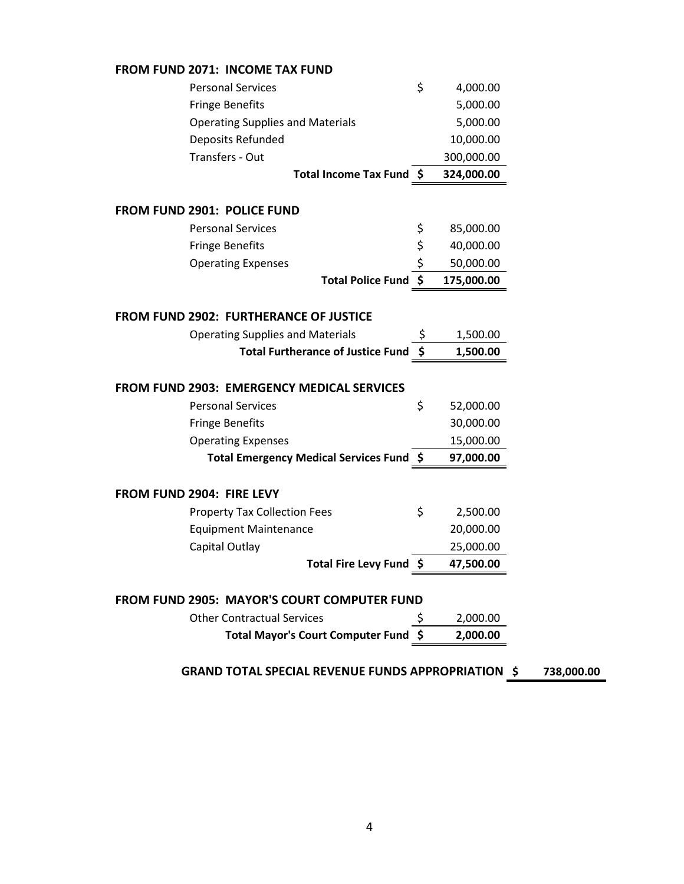| <b>FROM FUND 2071: INCOME TAX FUND</b>                    |                  |            |
|-----------------------------------------------------------|------------------|------------|
| <b>Personal Services</b>                                  | \$<br>4,000.00   |            |
| <b>Fringe Benefits</b>                                    | 5,000.00         |            |
| <b>Operating Supplies and Materials</b>                   | 5,000.00         |            |
| Deposits Refunded                                         | 10,000.00        |            |
| Transfers - Out                                           | 300,000.00       |            |
| Total Income Tax Fund \$                                  | 324,000.00       |            |
| <b>FROM FUND 2901: POLICE FUND</b>                        |                  |            |
| <b>Personal Services</b>                                  | \$<br>85,000.00  |            |
| <b>Fringe Benefits</b>                                    | \$<br>40,000.00  |            |
| <b>Operating Expenses</b>                                 | \$<br>50,000.00  |            |
| <b>Total Police Fund</b>                                  | \$<br>175,000.00 |            |
|                                                           |                  |            |
| <b>FROM FUND 2902: FURTHERANCE OF JUSTICE</b>             |                  |            |
| <b>Operating Supplies and Materials</b>                   | \$<br>1,500.00   |            |
| <b>Total Furtherance of Justice Fund</b>                  | \$<br>1,500.00   |            |
| <b>FROM FUND 2903: EMERGENCY MEDICAL SERVICES</b>         |                  |            |
| <b>Personal Services</b>                                  | \$<br>52,000.00  |            |
| <b>Fringe Benefits</b>                                    | 30,000.00        |            |
| <b>Operating Expenses</b>                                 | 15,000.00        |            |
| Total Emergency Medical Services Fund \$                  | 97,000.00        |            |
| FROM FUND 2904: FIRE LEVY                                 |                  |            |
| <b>Property Tax Collection Fees</b>                       | \$<br>2,500.00   |            |
| <b>Equipment Maintenance</b>                              | 20,000.00        |            |
| Capital Outlay                                            | 25,000.00        |            |
| Total Fire Levy Fund \$                                   | 47,500.00        |            |
|                                                           |                  |            |
| <b>FROM FUND 2905: MAYOR'S COURT COMPUTER FUND</b>        |                  |            |
| <b>Other Contractual Services</b>                         | 2,000.00         |            |
| <b>Total Mayor's Court Computer Fund</b>                  | 2,000.00         |            |
|                                                           |                  |            |
| <b>GRAND TOTAL SPECIAL REVENUE FUNDS APPROPRIATION \$</b> |                  | 738,000.00 |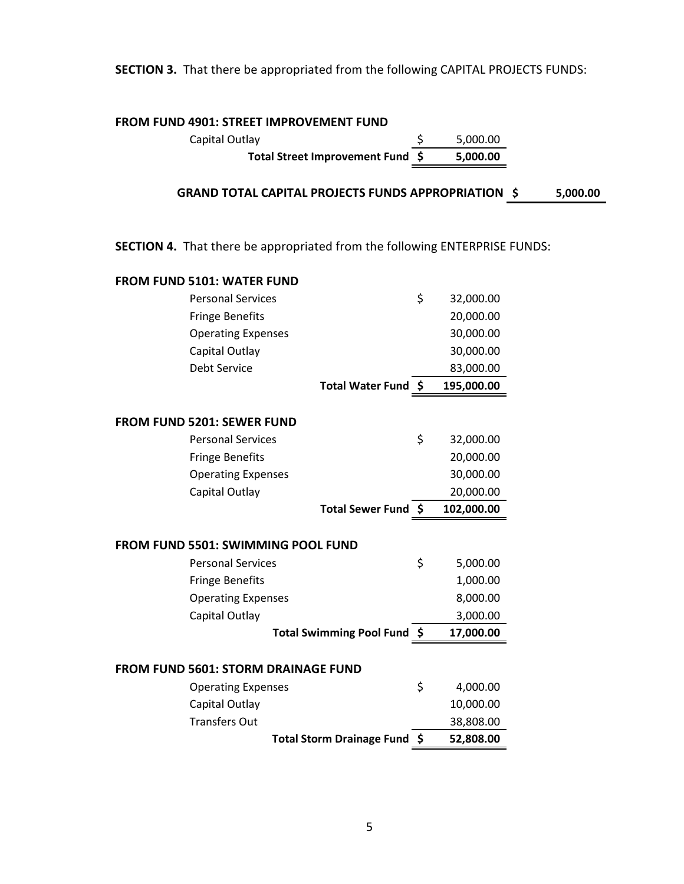## **SECTION 3.** That there be appropriated from the following CAPITAL PROJECTS FUNDS:

## **FROM FUND 4901: STREET IMPROVEMENT FUND**

Capital Outlay **5 12 September 10** September 2014 **Total Street Improvement Fund \$ 5,000.00**

**\$ 5,000.00 GRAND TOTAL CAPITAL PROJECTS FUNDS APPROPRIATION**

**SECTION 4.** That there be appropriated from the following ENTERPRISE FUNDS:

| <b>FROM FUND 5101: WATER FUND</b>          |                                  |                 |
|--------------------------------------------|----------------------------------|-----------------|
| <b>Personal Services</b>                   |                                  | \$<br>32,000.00 |
| <b>Fringe Benefits</b>                     |                                  | 20,000.00       |
| <b>Operating Expenses</b>                  |                                  | 30,000.00       |
| Capital Outlay                             |                                  | 30,000.00       |
| Debt Service                               |                                  | 83,000.00       |
|                                            | Total Water Fund \$              | 195,000.00      |
|                                            |                                  |                 |
| <b>FROM FUND 5201: SEWER FUND</b>          |                                  |                 |
| <b>Personal Services</b>                   |                                  | \$<br>32,000.00 |
| <b>Fringe Benefits</b>                     |                                  | 20,000.00       |
| <b>Operating Expenses</b>                  |                                  | 30,000.00       |
| Capital Outlay                             |                                  | 20,000.00       |
|                                            | Total Sewer Fund \$              | 102,000.00      |
|                                            |                                  |                 |
|                                            |                                  |                 |
| <b>FROM FUND 5501: SWIMMING POOL FUND</b>  |                                  |                 |
| <b>Personal Services</b>                   |                                  | \$<br>5,000.00  |
| <b>Fringe Benefits</b>                     |                                  | 1,000.00        |
| <b>Operating Expenses</b>                  |                                  | 8,000.00        |
| Capital Outlay                             |                                  | 3,000.00        |
|                                            | Total Swimming Pool Fund \$      | 17,000.00       |
|                                            |                                  |                 |
| <b>FROM FUND 5601: STORM DRAINAGE FUND</b> |                                  |                 |
| <b>Operating Expenses</b>                  |                                  | \$<br>4,000.00  |
| Capital Outlay                             |                                  | 10,000.00       |
| <b>Transfers Out</b>                       |                                  | 38,808.00       |
|                                            | <b>Total Storm Drainage Fund</b> | \$<br>52,808.00 |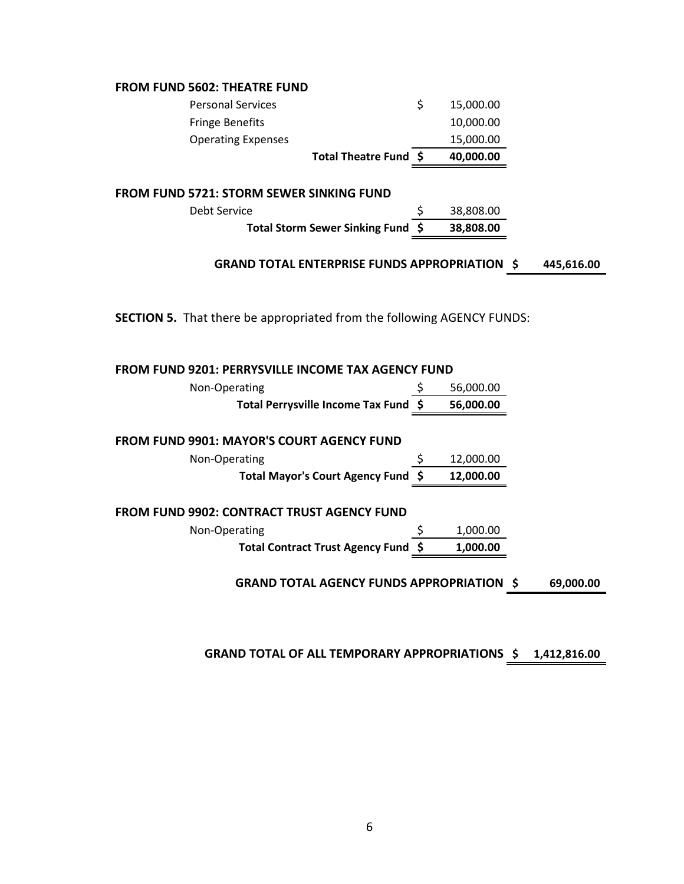## **FROM FUND 5602: THEATRE FUND**

|                           | Total Theatre Fund \$ | 40,000.00 |
|---------------------------|-----------------------|-----------|
| <b>Operating Expenses</b> |                       | 15,000.00 |
| <b>Fringe Benefits</b>    |                       | 10,000.00 |
| <b>Personal Services</b>  |                       | 15,000.00 |

### **FROM FUND 5721: STORM SEWER SINKING FUND**

| Debt Service                      | 38,808.00 |
|-----------------------------------|-----------|
| Total Storm Sewer Sinking Fund \$ | 38,808.00 |

#### **GRAND TOTAL ENTERPRISE FUNDS APPROPRIATION \$445,616.00**

**SECTION 5.** That there be appropriated from the following AGENCY FUNDS:

| <b>FROM FUND 9201: PERRYSVILLE INCOME TAX AGENCY FUND</b>     |  |           |  |  |
|---------------------------------------------------------------|--|-----------|--|--|
| Non-Operating                                                 |  | 56,000.00 |  |  |
| Total Perrysville Income Tax Fund \$                          |  | 56,000.00 |  |  |
| <b>FROM FUND 9901: MAYOR'S COURT AGENCY FUND</b>              |  |           |  |  |
| Non-Operating                                                 |  | 12,000.00 |  |  |
| Total Mayor's Court Agency Fund \$                            |  | 12,000.00 |  |  |
| <b>FROM FUND 9902: CONTRACT TRUST AGENCY FUND</b>             |  |           |  |  |
| Non-Operating                                                 |  | 1,000.00  |  |  |
| Total Contract Trust Agency Fund \$                           |  | 1.000.00  |  |  |
| <b>GRAND TOTAL AGENCY FUNDS APPROPRIATION \$</b><br>69,000.00 |  |           |  |  |

**GRAND TOTAL OF ALL TEMPORARY APPROPRIATIONS \$ 1,412,816.00**